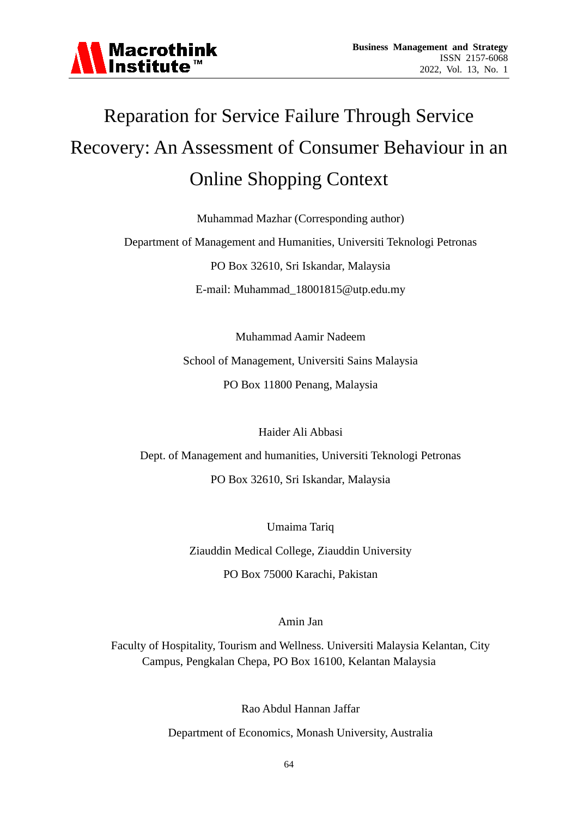

# Reparation for Service Failure Through Service Recovery: An Assessment of Consumer Behaviour in an Online Shopping Context

Muhammad Mazhar (Corresponding author)

Department of Management and Humanities, Universiti Teknologi Petronas

PO Box 32610, Sri Iskandar, Malaysia

E-mail: Muhammad\_18001815@utp.edu.my

Muhammad Aamir Nadeem School of Management, Universiti Sains Malaysia PO Box 11800 Penang, Malaysia

Haider Ali Abbasi

Dept. of Management and humanities, Universiti Teknologi Petronas PO Box 32610, Sri Iskandar, Malaysia

> Umaima Tariq Ziauddin Medical College, Ziauddin University

PO Box 75000 Karachi, Pakistan

Amin Jan

Faculty of Hospitality, Tourism and Wellness. Universiti Malaysia Kelantan, City Campus, Pengkalan Chepa, PO Box 16100, Kelantan Malaysia

Rao Abdul Hannan Jaffar

Department of Economics, Monash University, Australia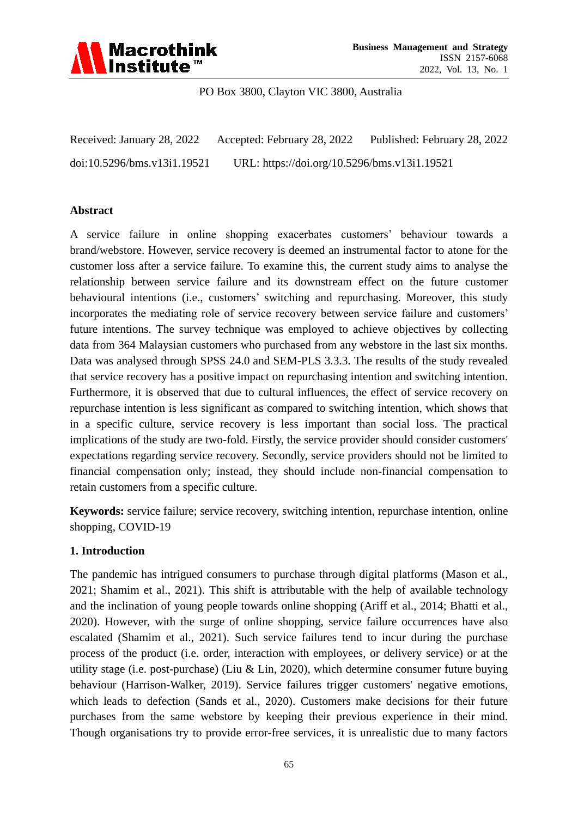

PO Box 3800, Clayton VIC 3800, Australia

Received: January 28, 2022 Accepted: February 28, 2022 Published: February 28, 2022 doi:10.5296/bms.v13i1.19521 URL: https://doi.org/10.5296/bms.v13i1.19521

#### **Abstract**

A service failure in online shopping exacerbates customers' behaviour towards a brand/webstore. However, service recovery is deemed an instrumental factor to atone for the customer loss after a service failure. To examine this, the current study aims to analyse the relationship between service failure and its downstream effect on the future customer behavioural intentions (i.e., customers' switching and repurchasing. Moreover, this study incorporates the mediating role of service recovery between service failure and customers' future intentions. The survey technique was employed to achieve objectives by collecting data from 364 Malaysian customers who purchased from any webstore in the last six months. Data was analysed through SPSS 24.0 and SEM-PLS 3.3.3. The results of the study revealed that service recovery has a positive impact on repurchasing intention and switching intention. Furthermore, it is observed that due to cultural influences, the effect of service recovery on repurchase intention is less significant as compared to switching intention, which shows that in a specific culture, service recovery is less important than social loss. The practical implications of the study are two-fold. Firstly, the service provider should consider customers' expectations regarding service recovery. Secondly, service providers should not be limited to financial compensation only; instead, they should include non-financial compensation to retain customers from a specific culture.

**Keywords:** service failure; service recovery, switching intention, repurchase intention, online shopping, COVID-19

#### **1. Introduction**

The pandemic has intrigued consumers to purchase through digital platforms (Mason et al., 2021; Shamim et al., 2021). This shift is attributable with the help of available technology and the inclination of young people towards online shopping (Ariff et al., 2014; Bhatti et al., 2020). However, with the surge of online shopping, service failure occurrences have also escalated (Shamim et al., 2021). Such service failures tend to incur during the purchase process of the product (i.e. order, interaction with employees, or delivery service) or at the utility stage (i.e. post-purchase) (Liu & Lin, 2020), which determine consumer future buying behaviour (Harrison-Walker, 2019). Service failures trigger customers' negative emotions, which leads to defection (Sands et al., 2020). Customers make decisions for their future purchases from the same webstore by keeping their previous experience in their mind. Though organisations try to provide error-free services, it is unrealistic due to many factors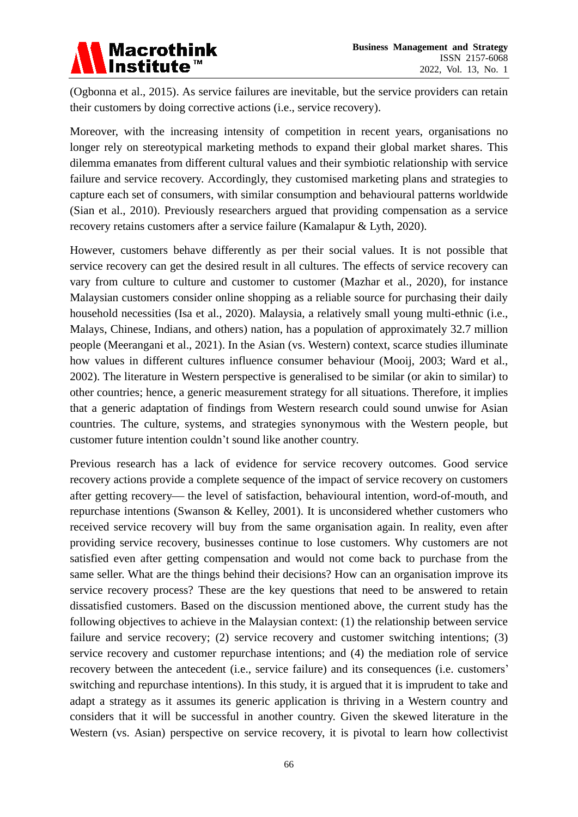(Ogbonna et al., 2015). As service failures are inevitable, but the service providers can retain their customers by doing corrective actions (i.e., service recovery).

Moreover, with the increasing intensity of competition in recent years, organisations no longer rely on stereotypical marketing methods to expand their global market shares. This dilemma emanates from different cultural values and their symbiotic relationship with service failure and service recovery. Accordingly, they customised marketing plans and strategies to capture each set of consumers, with similar consumption and behavioural patterns worldwide (Sian et al., 2010). Previously researchers argued that providing compensation as a service recovery retains customers after a service failure (Kamalapur & Lyth, 2020).

However, customers behave differently as per their social values. It is not possible that service recovery can get the desired result in all cultures. The effects of service recovery can vary from culture to culture and customer to customer (Mazhar et al., 2020), for instance Malaysian customers consider online shopping as a reliable source for purchasing their daily household necessities (Isa et al., 2020). Malaysia, a relatively small young multi-ethnic (i.e., Malays, Chinese, Indians, and others) nation, has a population of approximately 32.7 million people (Meerangani et al., 2021). In the Asian (vs. Western) context, scarce studies illuminate how values in different cultures influence consumer behaviour (Mooij, 2003; Ward et al., 2002). The literature in Western perspective is generalised to be similar (or akin to similar) to other countries; hence, a generic measurement strategy for all situations. Therefore, it implies that a generic adaptation of findings from Western research could sound unwise for Asian countries. The culture, systems, and strategies synonymous with the Western people, but customer future intention couldn't sound like another country.

Previous research has a lack of evidence for service recovery outcomes. Good service recovery actions provide a complete sequence of the impact of service recovery on customers after getting recovery— the level of satisfaction, behavioural intention, word-of-mouth, and repurchase intentions (Swanson & Kelley, 2001). It is unconsidered whether customers who received service recovery will buy from the same organisation again. In reality, even after providing service recovery, businesses continue to lose customers. Why customers are not satisfied even after getting compensation and would not come back to purchase from the same seller. What are the things behind their decisions? How can an organisation improve its service recovery process? These are the key questions that need to be answered to retain dissatisfied customers. Based on the discussion mentioned above, the current study has the following objectives to achieve in the Malaysian context: (1) the relationship between service failure and service recovery; (2) service recovery and customer switching intentions; (3) service recovery and customer repurchase intentions; and (4) the mediation role of service recovery between the antecedent (i.e., service failure) and its consequences (i.e. customers' switching and repurchase intentions). In this study, it is argued that it is imprudent to take and adapt a strategy as it assumes its generic application is thriving in a Western country and considers that it will be successful in another country. Given the skewed literature in the Western (vs. Asian) perspective on service recovery, it is pivotal to learn how collectivist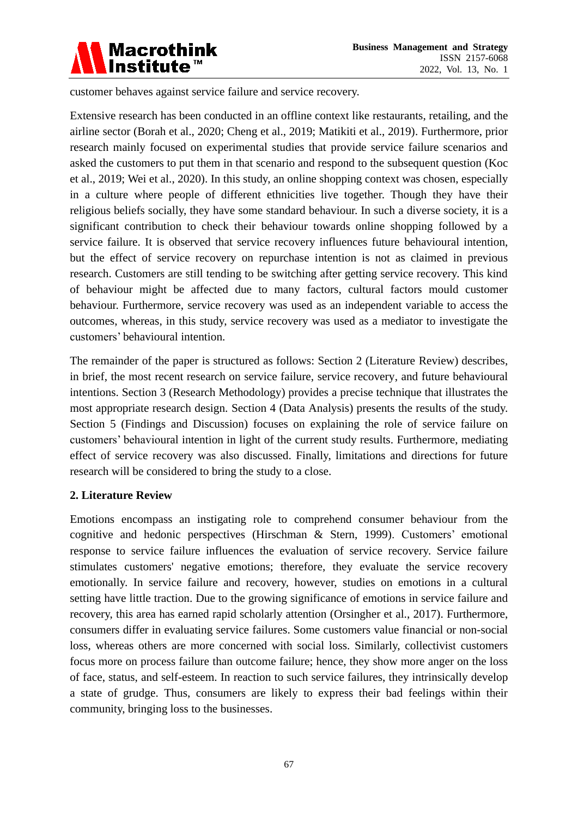

customer behaves against service failure and service recovery.

Extensive research has been conducted in an offline context like restaurants, retailing, and the airline sector (Borah et al., 2020; Cheng et al., 2019; Matikiti et al., 2019). Furthermore, prior research mainly focused on experimental studies that provide service failure scenarios and asked the customers to put them in that scenario and respond to the subsequent question (Koc et al., 2019; Wei et al., 2020). In this study, an online shopping context was chosen, especially in a culture where people of different ethnicities live together. Though they have their religious beliefs socially, they have some standard behaviour. In such a diverse society, it is a significant contribution to check their behaviour towards online shopping followed by a service failure. It is observed that service recovery influences future behavioural intention, but the effect of service recovery on repurchase intention is not as claimed in previous research. Customers are still tending to be switching after getting service recovery. This kind of behaviour might be affected due to many factors, cultural factors mould customer behaviour. Furthermore, service recovery was used as an independent variable to access the outcomes, whereas, in this study, service recovery was used as a mediator to investigate the customers' behavioural intention.

The remainder of the paper is structured as follows: Section 2 (Literature Review) describes, in brief, the most recent research on service failure, service recovery, and future behavioural intentions. Section 3 (Research Methodology) provides a precise technique that illustrates the most appropriate research design. Section 4 (Data Analysis) presents the results of the study. Section 5 (Findings and Discussion) focuses on explaining the role of service failure on customers' behavioural intention in light of the current study results. Furthermore, mediating effect of service recovery was also discussed. Finally, limitations and directions for future research will be considered to bring the study to a close.

#### **2. Literature Review**

Emotions encompass an instigating role to comprehend consumer behaviour from the cognitive and hedonic perspectives (Hirschman & Stern, 1999). Customers' emotional response to service failure influences the evaluation of service recovery. Service failure stimulates customers' negative emotions; therefore, they evaluate the service recovery emotionally. In service failure and recovery, however, studies on emotions in a cultural setting have little traction. Due to the growing significance of emotions in service failure and recovery, this area has earned rapid scholarly attention (Orsingher et al., 2017). Furthermore, consumers differ in evaluating service failures. Some customers value financial or non-social loss, whereas others are more concerned with social loss. Similarly, collectivist customers focus more on process failure than outcome failure; hence, they show more anger on the loss of face, status, and self-esteem. In reaction to such service failures, they intrinsically develop a state of grudge. Thus, consumers are likely to express their bad feelings within their community, bringing loss to the businesses.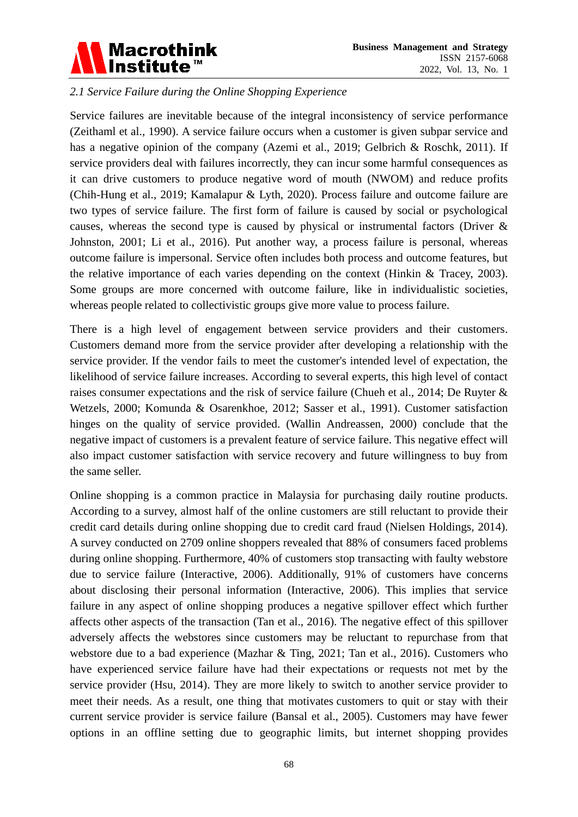

# *2.1 Service Failure during the Online Shopping Experience*

Service failures are inevitable because of the integral inconsistency of service performance (Zeithaml et al., 1990). A service failure occurs when a customer is given subpar service and has a negative opinion of the company (Azemi et al., 2019; Gelbrich & Roschk, 2011). If service providers deal with failures incorrectly, they can incur some harmful consequences as it can drive customers to produce negative word of mouth (NWOM) and reduce profits (Chih-Hung et al., 2019; Kamalapur & Lyth, 2020). Process failure and outcome failure are two types of service failure. The first form of failure is caused by social or psychological causes, whereas the second type is caused by physical or instrumental factors (Driver & Johnston, 2001; Li et al., 2016). Put another way, a process failure is personal, whereas outcome failure is impersonal. Service often includes both process and outcome features, but the relative importance of each varies depending on the context (Hinkin & Tracey, 2003). Some groups are more concerned with outcome failure, like in individualistic societies, whereas people related to collectivistic groups give more value to process failure.

There is a high level of engagement between service providers and their customers. Customers demand more from the service provider after developing a relationship with the service provider. If the vendor fails to meet the customer's intended level of expectation, the likelihood of service failure increases. According to several experts, this high level of contact raises consumer expectations and the risk of service failure (Chueh et al., 2014; De Ruyter & Wetzels, 2000; Komunda & Osarenkhoe, 2012; Sasser et al., 1991). Customer satisfaction hinges on the quality of service provided. (Wallin Andreassen, 2000) conclude that the negative impact of customers is a prevalent feature of service failure. This negative effect will also impact customer satisfaction with service recovery and future willingness to buy from the same seller.

Online shopping is a common practice in Malaysia for purchasing daily routine products. According to a survey, almost half of the online customers are still reluctant to provide their credit card details during online shopping due to credit card fraud (Nielsen Holdings, 2014). A survey conducted on 2709 online shoppers revealed that 88% of consumers faced problems during online shopping. Furthermore, 40% of customers stop transacting with faulty webstore due to service failure (Interactive, 2006). Additionally, 91% of customers have concerns about disclosing their personal information (Interactive, 2006). This implies that service failure in any aspect of online shopping produces a negative spillover effect which further affects other aspects of the transaction (Tan et al., 2016). The negative effect of this spillover adversely affects the webstores since customers may be reluctant to repurchase from that webstore due to a bad experience (Mazhar & Ting, 2021; Tan et al., 2016). Customers who have experienced service failure have had their expectations or requests not met by the service provider (Hsu, 2014). They are more likely to switch to another service provider to meet their needs. As a result, one thing that motivates customers to quit or stay with their current service provider is service failure (Bansal et al., 2005). Customers may have fewer options in an offline setting due to geographic limits, but internet shopping provides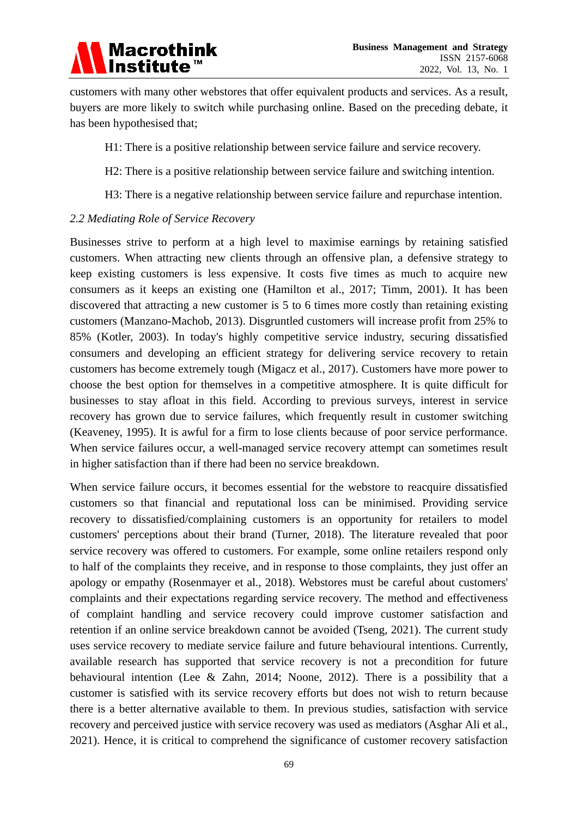# Macrothink<br>Institute™

customers with many other webstores that offer equivalent products and services. As a result, buyers are more likely to switch while purchasing online. Based on the preceding debate, it has been hypothesised that;

- H1: There is a positive relationship between service failure and service recovery.
- H2: There is a positive relationship between service failure and switching intention.
- H3: There is a negative relationship between service failure and repurchase intention.

### *2.2 Mediating Role of Service Recovery*

Businesses strive to perform at a high level to maximise earnings by retaining satisfied customers. When attracting new clients through an offensive plan, a defensive strategy to keep existing customers is less expensive. It costs five times as much to acquire new consumers as it keeps an existing one (Hamilton et al., 2017; Timm, 2001). It has been discovered that attracting a new customer is 5 to 6 times more costly than retaining existing customers (Manzano-Machob, 2013). Disgruntled customers will increase profit from 25% to 85% (Kotler, 2003). In today's highly competitive service industry, securing dissatisfied consumers and developing an efficient strategy for delivering service recovery to retain customers has become extremely tough (Migacz et al., 2017). Customers have more power to choose the best option for themselves in a competitive atmosphere. It is quite difficult for businesses to stay afloat in this field. According to previous surveys, interest in service recovery has grown due to service failures, which frequently result in customer switching (Keaveney, 1995). It is awful for a firm to lose clients because of poor service performance. When service failures occur, a well-managed service recovery attempt can sometimes result in higher satisfaction than if there had been no service breakdown.

When service failure occurs, it becomes essential for the webstore to reacquire dissatisfied customers so that financial and reputational loss can be minimised. Providing service recovery to dissatisfied/complaining customers is an opportunity for retailers to model customers' perceptions about their brand (Turner, 2018). The literature revealed that poor service recovery was offered to customers. For example, some online retailers respond only to half of the complaints they receive, and in response to those complaints, they just offer an apology or empathy (Rosenmayer et al., 2018). Webstores must be careful about customers' complaints and their expectations regarding service recovery. The method and effectiveness of complaint handling and service recovery could improve customer satisfaction and retention if an online service breakdown cannot be avoided (Tseng, 2021). The current study uses service recovery to mediate service failure and future behavioural intentions. Currently, available research has supported that service recovery is not a precondition for future behavioural intention (Lee & Zahn, 2014; Noone, 2012). There is a possibility that a customer is satisfied with its service recovery efforts but does not wish to return because there is a better alternative available to them. In previous studies, satisfaction with service recovery and perceived justice with service recovery was used as mediators (Asghar Ali et al., 2021). Hence, it is critical to comprehend the significance of customer recovery satisfaction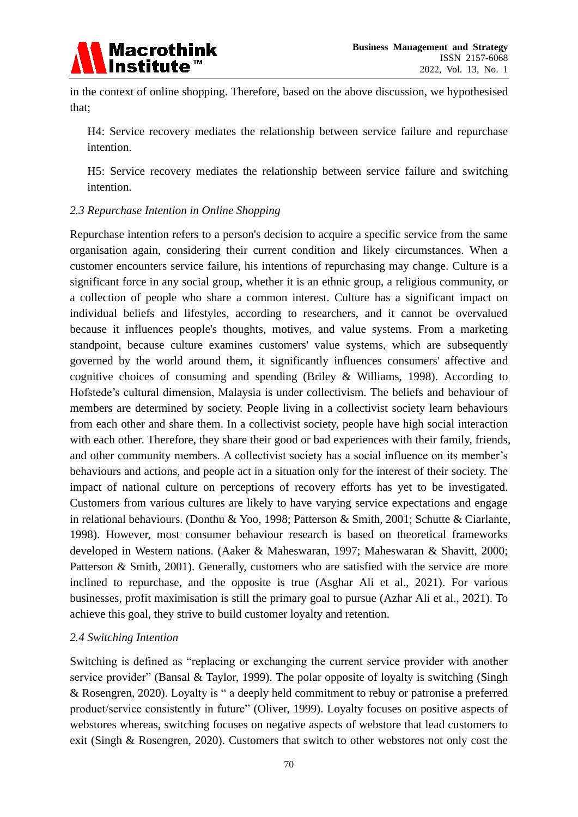

in the context of online shopping. Therefore, based on the above discussion, we hypothesised that;

H4: Service recovery mediates the relationship between service failure and repurchase intention.

H5: Service recovery mediates the relationship between service failure and switching intention.

### *2.3 Repurchase Intention in Online Shopping*

Repurchase intention refers to a person's decision to acquire a specific service from the same organisation again, considering their current condition and likely circumstances. When a customer encounters service failure, his intentions of repurchasing may change. Culture is a significant force in any social group, whether it is an ethnic group, a religious community, or a collection of people who share a common interest. Culture has a significant impact on individual beliefs and lifestyles, according to researchers, and it cannot be overvalued because it influences people's thoughts, motives, and value systems. From a marketing standpoint, because culture examines customers' value systems, which are subsequently governed by the world around them, it significantly influences consumers' affective and cognitive choices of consuming and spending (Briley & Williams, 1998). According to Hofstede's cultural dimension, Malaysia is under collectivism. The beliefs and behaviour of members are determined by society. People living in a collectivist society learn behaviours from each other and share them. In a collectivist society, people have high social interaction with each other. Therefore, they share their good or bad experiences with their family, friends, and other community members. A collectivist society has a social influence on its member's behaviours and actions, and people act in a situation only for the interest of their society. The impact of national culture on perceptions of recovery efforts has yet to be investigated. Customers from various cultures are likely to have varying service expectations and engage in relational behaviours. (Donthu & Yoo, 1998; Patterson & Smith, 2001; Schutte & Ciarlante, 1998). However, most consumer behaviour research is based on theoretical frameworks developed in Western nations. (Aaker & Maheswaran, 1997; Maheswaran & Shavitt, 2000; Patterson & Smith, 2001). Generally, customers who are satisfied with the service are more inclined to repurchase, and the opposite is true (Asghar Ali et al., 2021). For various businesses, profit maximisation is still the primary goal to pursue (Azhar Ali et al., 2021). To achieve this goal, they strive to build customer loyalty and retention.

# *2.4 Switching Intention*

Switching is defined as "replacing or exchanging the current service provider with another service provider" (Bansal & Taylor, 1999). The polar opposite of loyalty is switching (Singh & Rosengren, 2020). Loyalty is " a deeply held commitment to rebuy or patronise a preferred product/service consistently in future" (Oliver, 1999). Loyalty focuses on positive aspects of webstores whereas, switching focuses on negative aspects of webstore that lead customers to exit (Singh & Rosengren, 2020). Customers that switch to other webstores not only cost the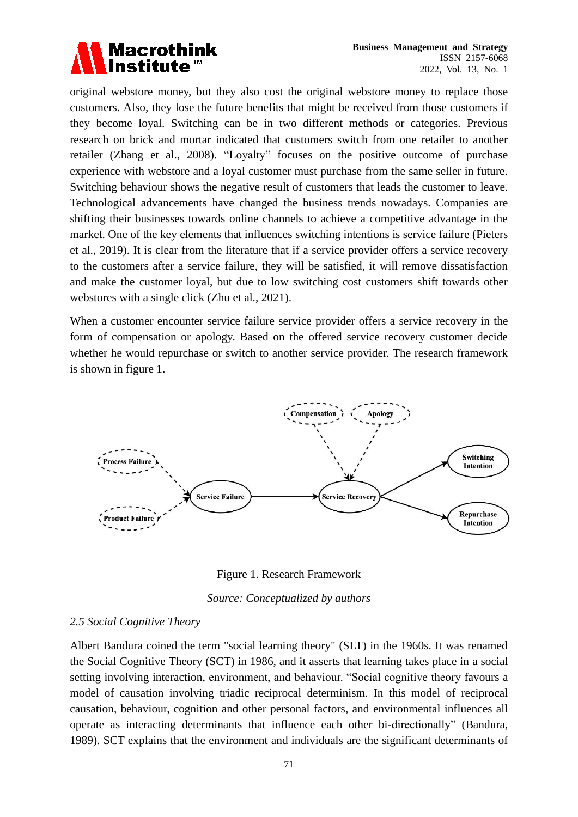

original webstore money, but they also cost the original webstore money to replace those customers. Also, they lose the future benefits that might be received from those customers if they become loyal. Switching can be in two different methods or categories. Previous research on brick and mortar indicated that customers switch from one retailer to another retailer (Zhang et al., 2008). "Loyalty" focuses on the positive outcome of purchase experience with webstore and a loyal customer must purchase from the same seller in future. Switching behaviour shows the negative result of customers that leads the customer to leave. Technological advancements have changed the business trends nowadays. Companies are shifting their businesses towards online channels to achieve a competitive advantage in the market. One of the key elements that influences switching intentions is service failure (Pieters et al., 2019). It is clear from the literature that if a service provider offers a service recovery to the customers after a service failure, they will be satisfied, it will remove dissatisfaction and make the customer loyal, but due to low switching cost customers shift towards other webstores with a single click (Zhu et al., 2021).

When a customer encounter service failure service provider offers a service recovery in the form of compensation or apology. Based on the offered service recovery customer decide whether he would repurchase or switch to another service provider. The research framework is shown in figure 1.



Figure 1. Research Framework

*Source: Conceptualized by authors*

# *2.5 Social Cognitive Theory*

Albert Bandura coined the term "social learning theory" (SLT) in the 1960s. It was renamed the Social Cognitive Theory (SCT) in 1986, and it asserts that learning takes place in a social setting involving interaction, environment, and behaviour. "Social cognitive theory favours a model of causation involving triadic reciprocal determinism. In this model of reciprocal causation, behaviour, cognition and other personal factors, and environmental influences all operate as interacting determinants that influence each other bi-directionally" (Bandura, 1989). SCT explains that the environment and individuals are the significant determinants of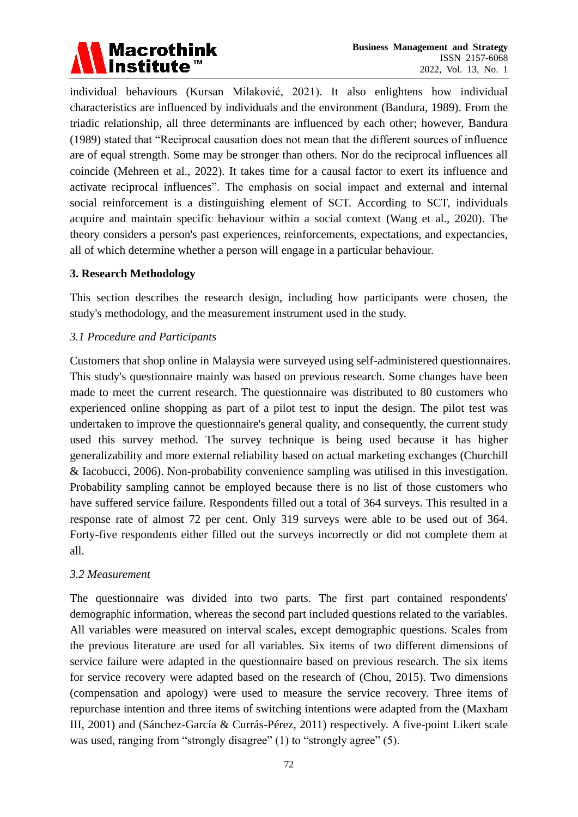

individual behaviours (Kursan Milaković, 2021). It also enlightens how individual characteristics are influenced by individuals and the environment (Bandura, 1989). From the triadic relationship, all three determinants are influenced by each other; however, Bandura (1989) stated that "Reciprocal causation does not mean that the different sources of influence are of equal strength. Some may be stronger than others. Nor do the reciprocal influences all coincide (Mehreen et al., 2022). It takes time for a causal factor to exert its influence and activate reciprocal influences". The emphasis on social impact and external and internal social reinforcement is a distinguishing element of SCT. According to SCT, individuals acquire and maintain specific behaviour within a social context (Wang et al., 2020). The theory considers a person's past experiences, reinforcements, expectations, and expectancies, all of which determine whether a person will engage in a particular behaviour.

#### **3. Research Methodology**

This section describes the research design, including how participants were chosen, the study's methodology, and the measurement instrument used in the study.

# *3.1 Procedure and Participants*

Customers that shop online in Malaysia were surveyed using self-administered questionnaires. This study's questionnaire mainly was based on previous research. Some changes have been made to meet the current research. The questionnaire was distributed to 80 customers who experienced online shopping as part of a pilot test to input the design. The pilot test was undertaken to improve the questionnaire's general quality, and consequently, the current study used this survey method. The survey technique is being used because it has higher generalizability and more external reliability based on actual marketing exchanges (Churchill & Iacobucci, 2006). Non-probability convenience sampling was utilised in this investigation. Probability sampling cannot be employed because there is no list of those customers who have suffered service failure. Respondents filled out a total of 364 surveys. This resulted in a response rate of almost 72 per cent. Only 319 surveys were able to be used out of 364. Forty-five respondents either filled out the surveys incorrectly or did not complete them at all.

# *3.2 Measurement*

The questionnaire was divided into two parts. The first part contained respondents' demographic information, whereas the second part included questions related to the variables. All variables were measured on interval scales, except demographic questions. Scales from the previous literature are used for all variables. Six items of two different dimensions of service failure were adapted in the questionnaire based on previous research. The six items for service recovery were adapted based on the research of (Chou, 2015). Two dimensions (compensation and apology) were used to measure the service recovery. Three items of repurchase intention and three items of switching intentions were adapted from the (Maxham III, 2001) and (Sánchez-García & Currás-Pérez, 2011) respectively. A five-point Likert scale was used, ranging from "strongly disagree" (1) to "strongly agree" (5).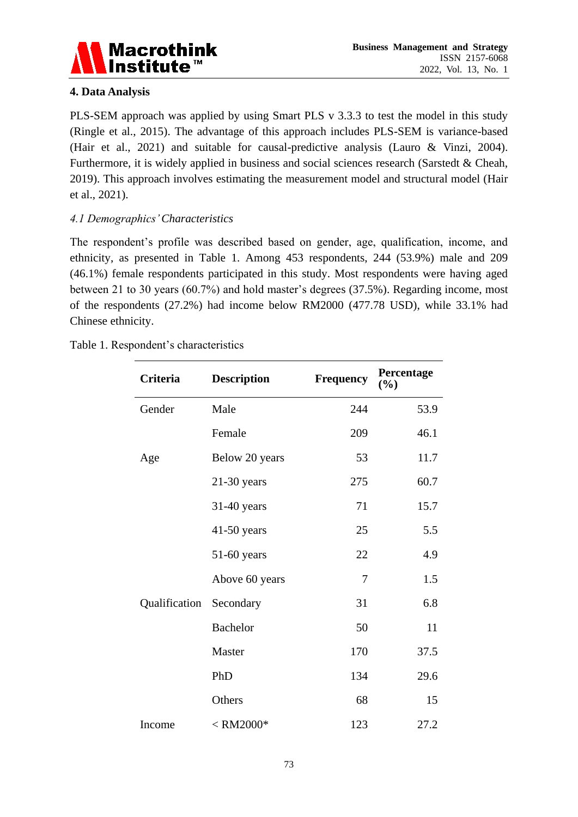

# **4. Data Analysis**

PLS-SEM approach was applied by using Smart PLS v 3.3.3 to test the model in this study (Ringle et al., 2015). The advantage of this approach includes PLS-SEM is variance-based (Hair et al., 2021) and suitable for causal-predictive analysis (Lauro & Vinzi, 2004). Furthermore, it is widely applied in business and social sciences research (Sarstedt & Cheah, 2019). This approach involves estimating the measurement model and structural model (Hair et al., 2021).

# *4.1 Demographics' Characteristics*

The respondent's profile was described based on gender, age, qualification, income, and ethnicity, as presented in Table 1. Among 453 respondents, 244 (53.9%) male and 209 (46.1%) female respondents participated in this study. Most respondents were having aged between 21 to 30 years (60.7%) and hold master's degrees (37.5%). Regarding income, most of the respondents (27.2%) had income below RM2000 (477.78 USD), while 33.1% had Chinese ethnicity.

| Table 1. Respondent's characteristics |  |
|---------------------------------------|--|
|---------------------------------------|--|

| Criteria      | <b>Description</b> | Frequency | Percentage<br>(%) |
|---------------|--------------------|-----------|-------------------|
| Gender        | Male               | 244       | 53.9              |
|               | Female             | 209       | 46.1              |
| Age           | Below 20 years     | 53        | 11.7              |
|               | $21-30$ years      | 275       | 60.7              |
|               | $31-40$ years      | 71        | 15.7              |
|               | $41-50$ years      | 25        | 5.5               |
|               | $51-60$ years      | 22        | 4.9               |
|               | Above 60 years     | 7         | 1.5               |
| Qualification | Secondary          | 31        | 6.8               |
|               | <b>Bachelor</b>    | 50        | 11                |
|               | Master             | 170       | 37.5              |
|               | PhD                | 134       | 29.6              |
|               | Others             | 68        | 15                |
| Income        | $<$ RM2000 $*$     | 123       | 27.2              |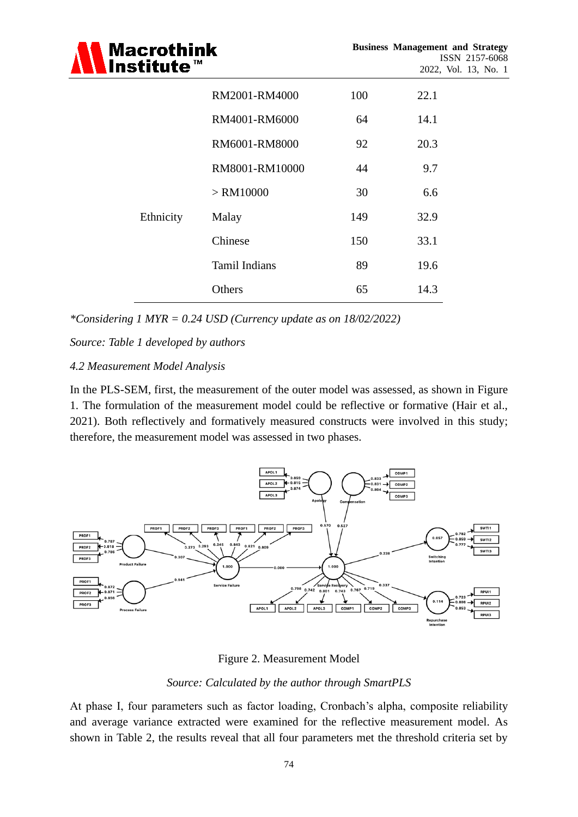| <b>Macrothink</b><br>lnstitute $^{\text{\tiny{\textsf{m}}}}$ |                      |     | <b>Business Management and Strategy</b><br>ISSN 2157-6068<br>2022, Vol. 13, No. 1 |
|--------------------------------------------------------------|----------------------|-----|-----------------------------------------------------------------------------------|
|                                                              | RM2001-RM4000        | 100 | 22.1                                                                              |
|                                                              | RM4001-RM6000        | 64  | 14.1                                                                              |
|                                                              | RM6001-RM8000        | 92  | 20.3                                                                              |
|                                                              | RM8001-RM10000       | 44  | 9.7                                                                               |
|                                                              | $>$ RM10000          | 30  | 6.6                                                                               |
| Ethnicity                                                    | Malay                | 149 | 32.9                                                                              |
|                                                              | Chinese              | 150 | 33.1                                                                              |
|                                                              | <b>Tamil Indians</b> | 89  | 19.6                                                                              |
|                                                              | Others               | 65  | 14.3                                                                              |

*\*Considering 1 MYR = 0.24 USD (Currency update as on 18/02/2022)*

*Source: Table 1 developed by authors*

### *4.2 Measurement Model Analysis*

In the PLS-SEM, first, the measurement of the outer model was assessed, as shown in Figure 1. The formulation of the measurement model could be reflective or formative (Hair et al., 2021). Both reflectively and formatively measured constructs were involved in this study; therefore, the measurement model was assessed in two phases.



# Figure 2. Measurement Model

# *Source: Calculated by the author through SmartPLS*

At phase I, four parameters such as factor loading, Cronbach's alpha, composite reliability and average variance extracted were examined for the reflective measurement model. As shown in Table 2, the results reveal that all four parameters met the threshold criteria set by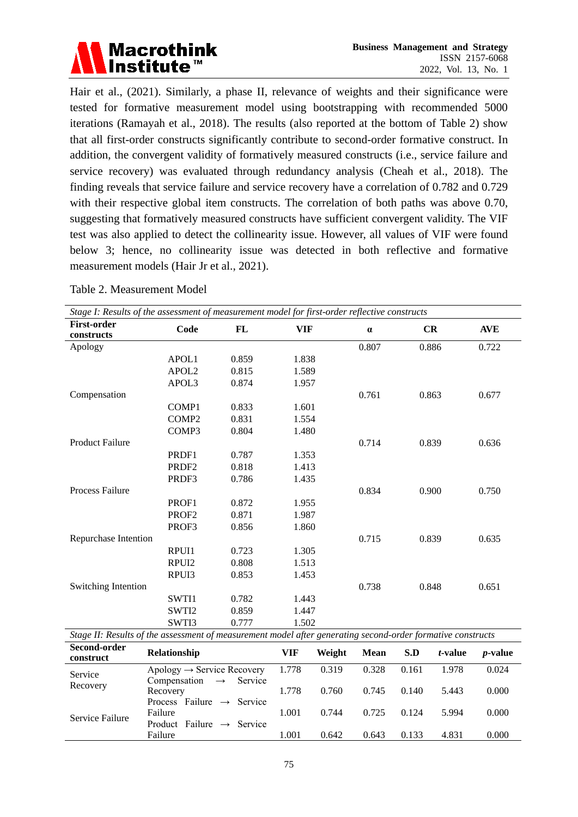

Hair et al., (2021). Similarly, a phase II, relevance of weights and their significance were tested for formative measurement model using bootstrapping with recommended 5000 iterations (Ramayah et al., 2018). The results (also reported at the bottom of Table 2) show that all first-order constructs significantly contribute to second-order formative construct. In addition, the convergent validity of formatively measured constructs (i.e., service failure and service recovery) was evaluated through redundancy analysis (Cheah et al., 2018). The finding reveals that service failure and service recovery have a correlation of 0.782 and 0.729 with their respective global item constructs. The correlation of both paths was above 0.70, suggesting that formatively measured constructs have sufficient convergent validity. The VIF test was also applied to detect the collinearity issue. However, all values of VIF were found below 3; hence, no collinearity issue was detected in both reflective and formative measurement models (Hair Jr et al., 2021).

| Stage I: Results of the assessment of measurement model for first-order reflective constructs |                   |       |            |          |       |            |
|-----------------------------------------------------------------------------------------------|-------------------|-------|------------|----------|-------|------------|
| <b>First-order</b><br>constructs                                                              | Code              | FL    | <b>VIF</b> | $\alpha$ | CR    | <b>AVE</b> |
| Apology                                                                                       |                   |       |            | 0.807    | 0.886 | 0.722      |
|                                                                                               | APOL1             | 0.859 | 1.838      |          |       |            |
|                                                                                               | APOL <sub>2</sub> | 0.815 | 1.589      |          |       |            |
|                                                                                               | APOL3             | 0.874 | 1.957      |          |       |            |
| Compensation                                                                                  |                   |       |            | 0.761    | 0.863 | 0.677      |
|                                                                                               | COMP1             | 0.833 | 1.601      |          |       |            |
|                                                                                               | COMP <sub>2</sub> | 0.831 | 1.554      |          |       |            |
|                                                                                               | COMP3             | 0.804 | 1.480      |          |       |            |
| <b>Product Failure</b>                                                                        |                   |       |            | 0.714    | 0.839 | 0.636      |
|                                                                                               | PRDF1             | 0.787 | 1.353      |          |       |            |
|                                                                                               | PRDF <sub>2</sub> | 0.818 | 1.413      |          |       |            |
|                                                                                               | PRDF3             | 0.786 | 1.435      |          |       |            |
| Process Failure                                                                               |                   |       |            | 0.834    | 0.900 | 0.750      |
|                                                                                               | PROF1             | 0.872 | 1.955      |          |       |            |
|                                                                                               | PROF <sub>2</sub> | 0.871 | 1.987      |          |       |            |
|                                                                                               | PROF3             | 0.856 | 1.860      |          |       |            |
| Repurchase Intention                                                                          |                   |       |            | 0.715    | 0.839 | 0.635      |
|                                                                                               | RPUI1             | 0.723 | 1.305      |          |       |            |
|                                                                                               | RPUI2             | 0.808 | 1.513      |          |       |            |
|                                                                                               | RPUI3             | 0.853 | 1.453      |          |       |            |
| Switching Intention                                                                           |                   |       |            | 0.738    | 0.848 | 0.651      |
|                                                                                               | SWTI1             | 0.782 | 1.443      |          |       |            |
|                                                                                               | SWTI2             | 0.859 | 1.447      |          |       |            |
|                                                                                               | SWTI3             | 0.777 | 1.502      |          |       |            |

Table 2. Measurement Model

| bux in Robins of the abboshieth of measurement mouter after Kenerating become order formative constructs |                                                      |       |        |             |       |                 |                 |
|----------------------------------------------------------------------------------------------------------|------------------------------------------------------|-------|--------|-------------|-------|-----------------|-----------------|
| Second-order<br>construct                                                                                | <b>Relationship</b>                                  | VIF   | Weight | <b>Mean</b> | S.D   | <i>t</i> -value | <i>p</i> -value |
| Service                                                                                                  | Apology $\rightarrow$ Service Recovery               | 1.778 | 0.319  | 0.328       | 0.161 | 1.978           | 0.024           |
| Recovery                                                                                                 | Compensation<br>Service<br>$\rightarrow$<br>Recovery | 1.778 | 0.760  | 0.745       | 0.140 | 5.443           | 0.000           |
|                                                                                                          | Process Failure $\rightarrow$ Service<br>Failure     | 1.001 | 0.744  | 0.725       | 0.124 | 5.994           | 0.000           |
| Service Failure                                                                                          | Product Failure $\rightarrow$<br>Service<br>Failure  | 1.001 | 0.642  | 0.643       | 0.133 | 4.831           | 0.000           |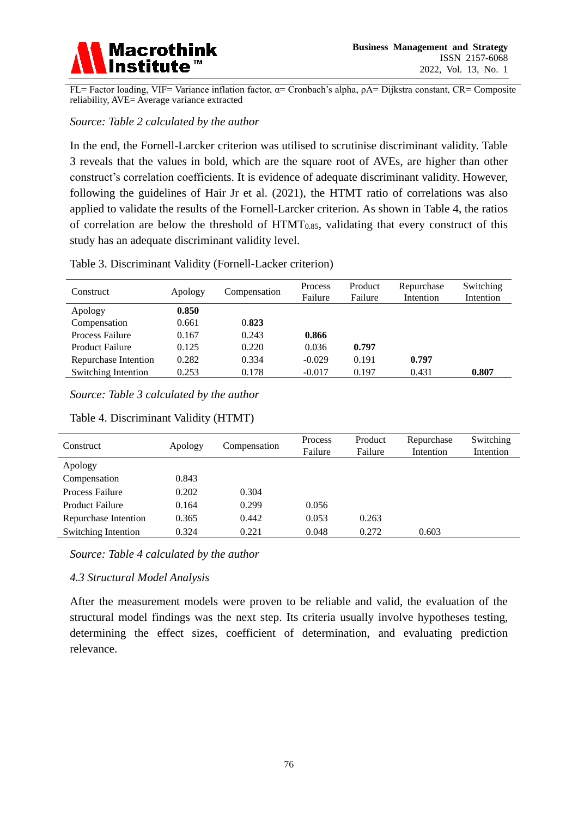

FL= Factor loading, VIF= Variance inflation factor, α= Cronbach's alpha, ρA= Dijkstra constant, CR= Composite reliability, AVE= Average variance extracted

#### *Source: Table 2 calculated by the author*

In the end, the Fornell-Larcker criterion was utilised to scrutinise discriminant validity. Table 3 reveals that the values in bold, which are the square root of AVEs, are higher than other construct's correlation coefficients. It is evidence of adequate discriminant validity. However, following the guidelines of Hair Jr et al. (2021), the HTMT ratio of correlations was also applied to validate the results of the Fornell-Larcker criterion. As shown in Table 4, the ratios of correlation are below the threshold of HTMT0.85, validating that every construct of this study has an adequate discriminant validity level.

| Table 3. Discriminant Validity (Fornell-Lacker criterion) |  |  |
|-----------------------------------------------------------|--|--|
|-----------------------------------------------------------|--|--|

| Construct              | Apology | Compensation | Process<br>Failure | Product<br>Failure | Repurchase<br>Intention | Switching<br>Intention |
|------------------------|---------|--------------|--------------------|--------------------|-------------------------|------------------------|
| Apology                | 0.850   |              |                    |                    |                         |                        |
| Compensation           | 0.661   | 0.823        |                    |                    |                         |                        |
| <b>Process Failure</b> | 0.167   | 0.243        | 0.866              |                    |                         |                        |
| <b>Product Failure</b> | 0.125   | 0.220        | 0.036              | 0.797              |                         |                        |
| Repurchase Intention   | 0.282   | 0.334        | $-0.029$           | 0.191              | 0.797                   |                        |
| Switching Intention    | 0.253   | 0.178        | $-0.017$           | 0.197              | 0.431                   | 0.807                  |

*Source: Table 3 calculated by the author*

| Construct              | Apology | Compensation | Process | Product | Repurchase | Switching |
|------------------------|---------|--------------|---------|---------|------------|-----------|
|                        |         |              | Failure | Failure | Intention  | Intention |
| Apology                |         |              |         |         |            |           |
| Compensation           | 0.843   |              |         |         |            |           |
| <b>Process Failure</b> | 0.202   | 0.304        |         |         |            |           |
| <b>Product Failure</b> | 0.164   | 0.299        | 0.056   |         |            |           |
| Repurchase Intention   | 0.365   | 0.442        | 0.053   | 0.263   |            |           |
| Switching Intention    | 0.324   | 0.221        | 0.048   | 0.272   | 0.603      |           |

#### Table 4. Discriminant Validity (HTMT)

*Source: Table 4 calculated by the author*

#### *4.3 Structural Model Analysis*

After the measurement models were proven to be reliable and valid, the evaluation of the structural model findings was the next step. Its criteria usually involve hypotheses testing, determining the effect sizes, coefficient of determination, and evaluating prediction relevance.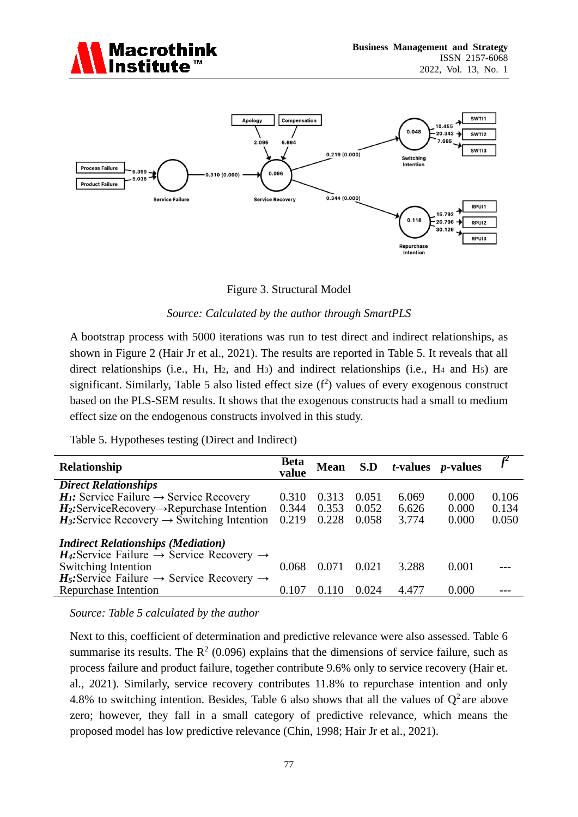



Figure 3. Structural Model

### *Source: Calculated by the author through SmartPLS*

A bootstrap process with 5000 iterations was run to test direct and indirect relationships, as shown in Figure 2 (Hair Jr et al., 2021). The results are reported in Table 5. It reveals that all direct relationships (i.e.,  $H_1$ ,  $H_2$ , and  $H_3$ ) and indirect relationships (i.e.,  $H_4$  and  $H_5$ ) are significant. Similarly, Table 5 also listed effect size  $(f^2)$  values of every exogenous construct based on the PLS-SEM results. It shows that the exogenous constructs had a small to medium effect size on the endogenous constructs involved in this study.

Table 5. Hypotheses testing (Direct and Indirect)

| Relationship                                                                                                      | <b>Beta</b><br>value | <b>Mean</b> |       | $S.D$ <i>t</i> -values <i>p</i> -values |       |       |
|-------------------------------------------------------------------------------------------------------------------|----------------------|-------------|-------|-----------------------------------------|-------|-------|
| <b>Direct Relationships</b>                                                                                       |                      |             |       |                                         |       |       |
| $H1$ : Service Failure $\rightarrow$ Service Recovery                                                             | 0.310                | 0.313       | 0.051 | 6.069                                   | 0.000 | 0.106 |
| $H_2$ : ServiceRecovery $\rightarrow$ Repurchase Intention                                                        | 0.344                | 0.353       | 0.052 | 6.626                                   | 0.000 | 0.134 |
| $H_3$ : Service Recovery $\rightarrow$ Switching Intention                                                        | 0.219                | 0.228       | 0.058 | 3.774                                   | 0.000 | 0.050 |
| <b>Indirect Relationships (Mediation)</b><br>$H_4$ : Service Failure $\rightarrow$ Service Recovery $\rightarrow$ |                      |             |       |                                         |       |       |
| <b>Switching Intention</b>                                                                                        | 0.068                | 0.071       | 0.021 | 3.288                                   | 0.001 |       |
| $H_5$ : Service Failure $\rightarrow$ Service Recovery $\rightarrow$<br>Repurchase Intention                      | 0.107                | 0110        | 0.024 | 4.477                                   | 0.000 |       |

*Source: Table 5 calculated by the author*

Next to this, coefficient of determination and predictive relevance were also assessed. Table 6 summarise its results. The  $R^2$  (0.096) explains that the dimensions of service failure, such as process failure and product failure, together contribute 9.6% only to service recovery (Hair et. al., 2021). Similarly, service recovery contributes 11.8% to repurchase intention and only 4.8% to switching intention. Besides, Table 6 also shows that all the values of  $Q^2$  are above zero; however, they fall in a small category of predictive relevance, which means the proposed model has low predictive relevance (Chin, 1998; Hair Jr et al., 2021).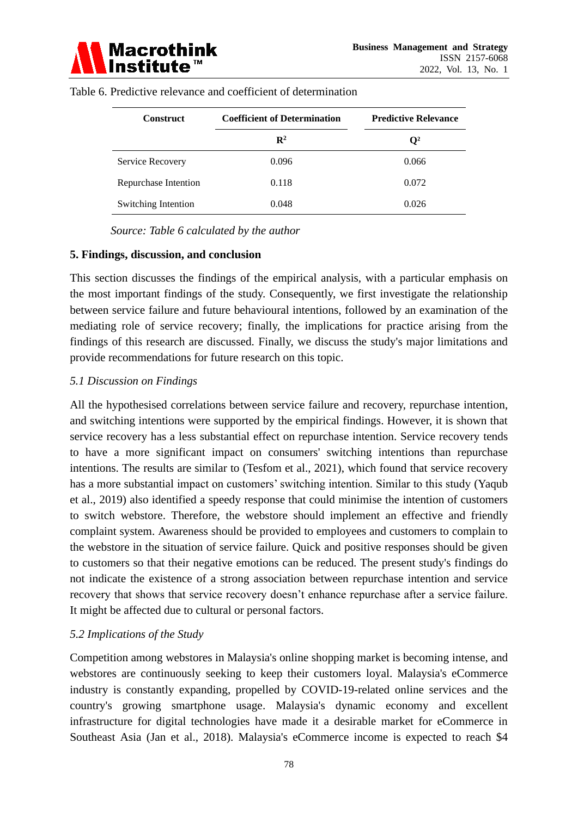

| <b>Construct</b>     | <b>Coefficient of Determination</b> | <b>Predictive Relevance</b> |
|----------------------|-------------------------------------|-----------------------------|
|                      | $\mathbf{R}^2$                      | $\mathbf{O}^2$              |
| Service Recovery     | 0.096                               | 0.066                       |
| Repurchase Intention | 0.118                               | 0.072                       |
| Switching Intention  | 0.048                               | 0.026                       |

Table 6. Predictive relevance and coefficient of determination

*Source: Table 6 calculated by the author*

#### **5. Findings, discussion, and conclusion**

This section discusses the findings of the empirical analysis, with a particular emphasis on the most important findings of the study. Consequently, we first investigate the relationship between service failure and future behavioural intentions, followed by an examination of the mediating role of service recovery; finally, the implications for practice arising from the findings of this research are discussed. Finally, we discuss the study's major limitations and provide recommendations for future research on this topic.

#### *5.1 Discussion on Findings*

All the hypothesised correlations between service failure and recovery, repurchase intention, and switching intentions were supported by the empirical findings. However, it is shown that service recovery has a less substantial effect on repurchase intention. Service recovery tends to have a more significant impact on consumers' switching intentions than repurchase intentions. The results are similar to (Tesfom et al., 2021), which found that service recovery has a more substantial impact on customers' switching intention. Similar to this study (Yaqub et al., 2019) also identified a speedy response that could minimise the intention of customers to switch webstore. Therefore, the webstore should implement an effective and friendly complaint system. Awareness should be provided to employees and customers to complain to the webstore in the situation of service failure. Quick and positive responses should be given to customers so that their negative emotions can be reduced. The present study's findings do not indicate the existence of a strong association between repurchase intention and service recovery that shows that service recovery doesn't enhance repurchase after a service failure. It might be affected due to cultural or personal factors.

#### *5.2 Implications of the Study*

Competition among webstores in Malaysia's online shopping market is becoming intense, and webstores are continuously seeking to keep their customers loyal. Malaysia's eCommerce industry is constantly expanding, propelled by COVID-19-related online services and the country's growing smartphone usage. Malaysia's dynamic economy and excellent infrastructure for digital technologies have made it a desirable market for eCommerce in Southeast Asia (Jan et al., 2018). Malaysia's eCommerce income is expected to reach \$4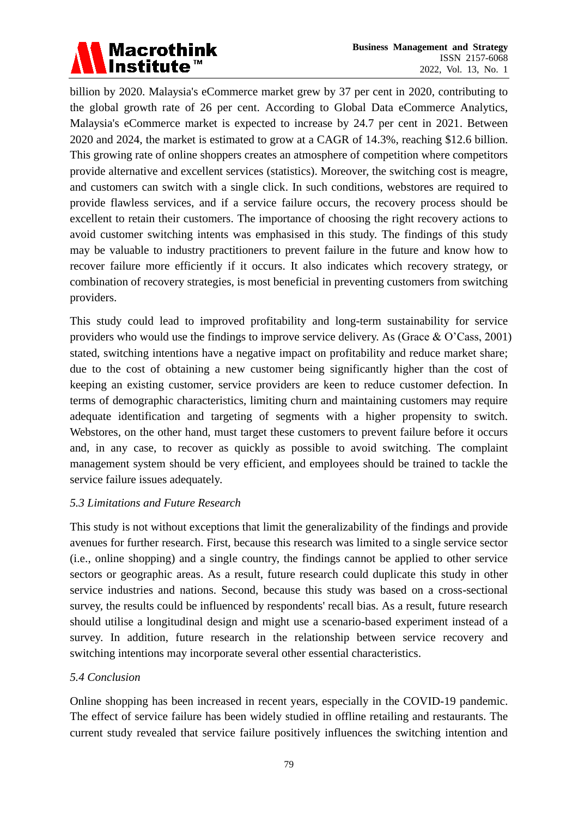

billion by 2020. Malaysia's eCommerce market grew by 37 per cent in 2020, contributing to the global growth rate of 26 per cent. According to Global Data eCommerce Analytics, Malaysia's eCommerce market is expected to increase by 24.7 per cent in 2021. Between 2020 and 2024, the market is estimated to grow at a CAGR of 14.3%, reaching \$12.6 billion. This growing rate of online shoppers creates an atmosphere of competition where competitors provide alternative and excellent services (statistics). Moreover, the switching cost is meagre, and customers can switch with a single click. In such conditions, webstores are required to provide flawless services, and if a service failure occurs, the recovery process should be excellent to retain their customers. The importance of choosing the right recovery actions to avoid customer switching intents was emphasised in this study. The findings of this study may be valuable to industry practitioners to prevent failure in the future and know how to recover failure more efficiently if it occurs. It also indicates which recovery strategy, or combination of recovery strategies, is most beneficial in preventing customers from switching providers.

This study could lead to improved profitability and long-term sustainability for service providers who would use the findings to improve service delivery. As (Grace & O'Cass, 2001) stated, switching intentions have a negative impact on profitability and reduce market share; due to the cost of obtaining a new customer being significantly higher than the cost of keeping an existing customer, service providers are keen to reduce customer defection. In terms of demographic characteristics, limiting churn and maintaining customers may require adequate identification and targeting of segments with a higher propensity to switch. Webstores, on the other hand, must target these customers to prevent failure before it occurs and, in any case, to recover as quickly as possible to avoid switching. The complaint management system should be very efficient, and employees should be trained to tackle the service failure issues adequately.

# *5.3 Limitations and Future Research*

This study is not without exceptions that limit the generalizability of the findings and provide avenues for further research. First, because this research was limited to a single service sector (i.e., online shopping) and a single country, the findings cannot be applied to other service sectors or geographic areas. As a result, future research could duplicate this study in other service industries and nations. Second, because this study was based on a cross-sectional survey, the results could be influenced by respondents' recall bias. As a result, future research should utilise a longitudinal design and might use a scenario-based experiment instead of a survey. In addition, future research in the relationship between service recovery and switching intentions may incorporate several other essential characteristics.

# *5.4 Conclusion*

Online shopping has been increased in recent years, especially in the COVID-19 pandemic. The effect of service failure has been widely studied in offline retailing and restaurants. The current study revealed that service failure positively influences the switching intention and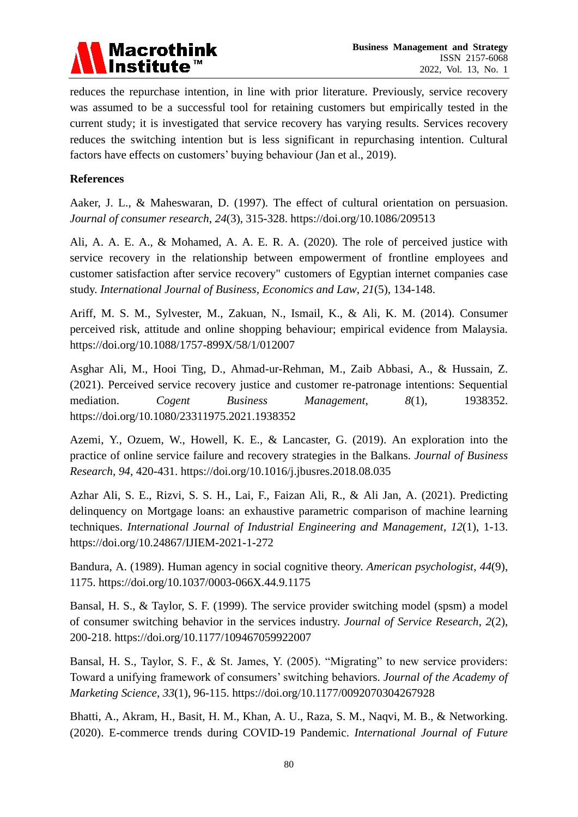

reduces the repurchase intention, in line with prior literature. Previously, service recovery was assumed to be a successful tool for retaining customers but empirically tested in the current study; it is investigated that service recovery has varying results. Services recovery reduces the switching intention but is less significant in repurchasing intention. Cultural factors have effects on customers' buying behaviour (Jan et al., 2019).

# **References**

Aaker, J. L., & Maheswaran, D. (1997). The effect of cultural orientation on persuasion. *Journal of consumer research*, *24*(3), 315-328.<https://doi.org/10.1086/209513>

Ali, A. A. E. A., & Mohamed, A. A. E. R. A. (2020). The role of perceived justice with service recovery in the relationship between empowerment of frontline employees and customer satisfaction after service recovery" customers of Egyptian internet companies case study. *International Journal of Business, Economics and Law*, *21*(5), 134-148.

Ariff, M. S. M., Sylvester, M., Zakuan, N., Ismail, K., & Ali, K. M. (2014). Consumer perceived risk, attitude and online shopping behaviour; empirical evidence from Malaysia. <https://doi.org/10.1088/1757-899X/58/1/012007>

Asghar Ali, M., Hooi Ting, D., Ahmad-ur-Rehman, M., Zaib Abbasi, A., & Hussain, Z. (2021). Perceived service recovery justice and customer re-patronage intentions: Sequential mediation. *Cogent Business Management*, *8*(1), 1938352. <https://doi.org/10.1080/23311975.2021.1938352>

Azemi, Y., Ozuem, W., Howell, K. E., & Lancaster, G. (2019). An exploration into the practice of online service failure and recovery strategies in the Balkans. *Journal of Business Research*, *94*, 420-431.<https://doi.org/10.1016/j.jbusres.2018.08.035>

Azhar Ali, S. E., Rizvi, S. S. H., Lai, F., Faizan Ali, R., & Ali Jan, A. (2021). Predicting delinquency on Mortgage loans: an exhaustive parametric comparison of machine learning techniques. *International Journal of Industrial Engineering and Management*, *12*(1), 1-13. <https://doi.org/10.24867/IJIEM-2021-1-272>

Bandura, A. (1989). Human agency in social cognitive theory. *American psychologist*, *44*(9), 1175.<https://doi.org/10.1037/0003-066X.44.9.1175>

Bansal, H. S., & Taylor, S. F. (1999). The service provider switching model (spsm) a model of consumer switching behavior in the services industry. *Journal of Service Research*, *2*(2), 200-218.<https://doi.org/10.1177/109467059922007>

Bansal, H. S., Taylor, S. F., & St. James, Y. (2005). "Migrating" to new service providers: Toward a unifying framework of consumers' switching behaviors. *Journal of the Academy of Marketing Science*, *33*(1), 96-115.<https://doi.org/10.1177/0092070304267928>

Bhatti, A., Akram, H., Basit, H. M., Khan, A. U., Raza, S. M., Naqvi, M. B., & Networking. (2020). E-commerce trends during COVID-19 Pandemic. *International Journal of Future*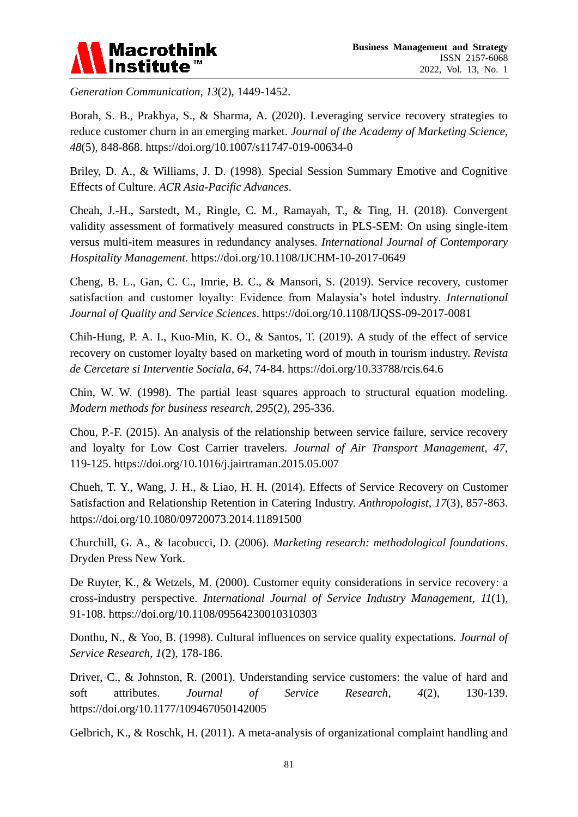

*Generation Communication*, *13*(2), 1449-1452.

Borah, S. B., Prakhya, S., & Sharma, A. (2020). Leveraging service recovery strategies to reduce customer churn in an emerging market. *Journal of the Academy of Marketing Science*, *48*(5), 848-868.<https://doi.org/10.1007/s11747-019-00634-0>

Briley, D. A., & Williams, J. D. (1998). Special Session Summary Emotive and Cognitive Effects of Culture. *ACR Asia-Pacific Advances*.

Cheah, J.-H., Sarstedt, M., Ringle, C. M., Ramayah, T., & Ting, H. (2018). Convergent validity assessment of formatively measured constructs in PLS-SEM: On using single-item versus multi-item measures in redundancy analyses. *International Journal of Contemporary Hospitality Management*.<https://doi.org/10.1108/IJCHM-10-2017-0649>

Cheng, B. L., Gan, C. C., Imrie, B. C., & Mansori, S. (2019). Service recovery, customer satisfaction and customer loyalty: Evidence from Malaysia's hotel industry. *International Journal of Quality and Service Sciences*.<https://doi.org/10.1108/IJQSS-09-2017-0081>

Chih-Hung, P. A. I., Kuo-Min, K. O., & Santos, T. (2019). A study of the effect of service recovery on customer loyalty based on marketing word of mouth in tourism industry. *Revista de Cercetare si Interventie Sociala*, *64*, 74-84.<https://doi.org/10.33788/rcis.64.6>

Chin, W. W. (1998). The partial least squares approach to structural equation modeling. *Modern methods for business research*, *295*(2), 295-336.

Chou, P.-F. (2015). An analysis of the relationship between service failure, service recovery and loyalty for Low Cost Carrier travelers. *Journal of Air Transport Management*, *47*, 119-125.<https://doi.org/10.1016/j.jairtraman.2015.05.007>

Chueh, T. Y., Wang, J. H., & Liao, H. H. (2014). Effects of Service Recovery on Customer Satisfaction and Relationship Retention in Catering Industry. *Anthropologist*, *17*(3), 857-863. <https://doi.org/10.1080/09720073.2014.11891500>

Churchill, G. A., & Iacobucci, D. (2006). *Marketing research: methodological foundations*. Dryden Press New York.

De Ruyter, K., & Wetzels, M. (2000). Customer equity considerations in service recovery: a cross-industry perspective. *International Journal of Service Industry Management*, *11*(1), 91-108.<https://doi.org/10.1108/09564230010310303>

Donthu, N., & Yoo, B. (1998). Cultural influences on service quality expectations. *Journal of Service Research*, *1*(2), 178-186.

Driver, C., & Johnston, R. (2001). Understanding service customers: the value of hard and soft attributes. *Journal of Service Research*, *4*(2), 130-139. <https://doi.org/10.1177/109467050142005>

Gelbrich, K., & Roschk, H. (2011). A meta-analysis of organizational complaint handling and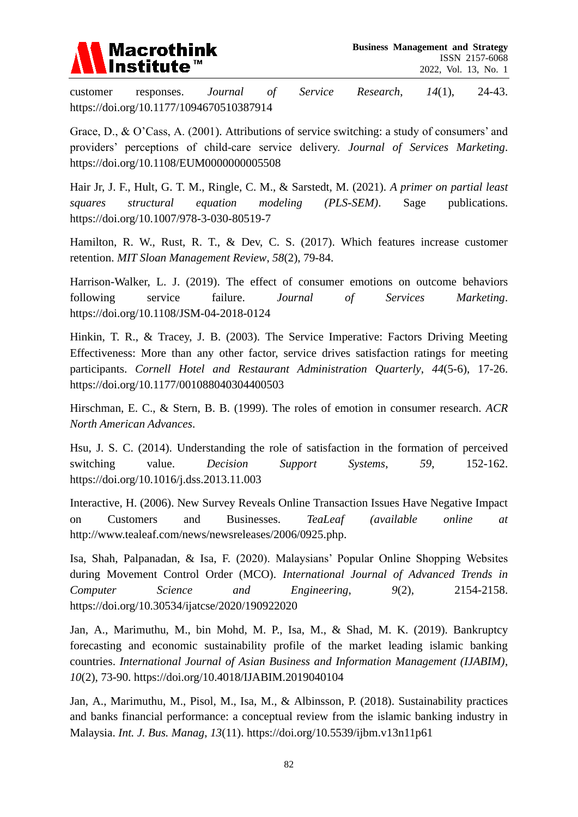

customer responses. *Journal of Service Research*, *14*(1), 24-43. <https://doi.org/10.1177/1094670510387914>

Grace, D., & O'Cass, A. (2001). Attributions of service switching: a study of consumers' and providers' perceptions of child‐care service delivery. *Journal of Services Marketing*. <https://doi.org/10.1108/EUM0000000005508>

Hair Jr, J. F., Hult, G. T. M., Ringle, C. M., & Sarstedt, M. (2021). *A primer on partial least squares structural equation modeling (PLS-SEM)*. Sage publications. <https://doi.org/10.1007/978-3-030-80519-7>

Hamilton, R. W., Rust, R. T., & Dev, C. S. (2017). Which features increase customer retention. *MIT Sloan Management Review*, *58*(2), 79-84.

Harrison-Walker, L. J. (2019). The effect of consumer emotions on outcome behaviors following service failure. *Journal of Services Marketing*. <https://doi.org/10.1108/JSM-04-2018-0124>

Hinkin, T. R., & Tracey, J. B. (2003). The Service Imperative: Factors Driving Meeting Effectiveness: More than any other factor, service drives satisfaction ratings for meeting participants. *Cornell Hotel and Restaurant Administration Quarterly*, *44*(5-6), 17-26. <https://doi.org/10.1177/001088040304400503>

Hirschman, E. C., & Stern, B. B. (1999). The roles of emotion in consumer research. *ACR North American Advances*.

Hsu, J. S. C. (2014). Understanding the role of satisfaction in the formation of perceived switching value. *Decision Support Systems*, *59*, 152-162. <https://doi.org/10.1016/j.dss.2013.11.003>

Interactive, H. (2006). New Survey Reveals Online Transaction Issues Have Negative Impact on Customers and Businesses. *TeaLeaf (available online at*  http://www.tealeaf.com/news/newsreleases/2006/0925.php.

Isa, Shah, Palpanadan, & Isa, F. (2020). Malaysians' Popular Online Shopping Websites during Movement Control Order (MCO). *International Journal of Advanced Trends in Computer Science and Engineering*, *9*(2), 2154-2158. <https://doi.org/10.30534/ijatcse/2020/190922020>

Jan, A., Marimuthu, M., bin Mohd, M. P., Isa, M., & Shad, M. K. (2019). Bankruptcy forecasting and economic sustainability profile of the market leading islamic banking countries. *International Journal of Asian Business and Information Management (IJABIM)*, *10*(2), 73-90.<https://doi.org/10.4018/IJABIM.2019040104>

Jan, A., Marimuthu, M., Pisol, M., Isa, M., & Albinsson, P. (2018). Sustainability practices and banks financial performance: a conceptual review from the islamic banking industry in Malaysia. *Int. J. Bus. Manag*, *13*(11).<https://doi.org/10.5539/ijbm.v13n11p61>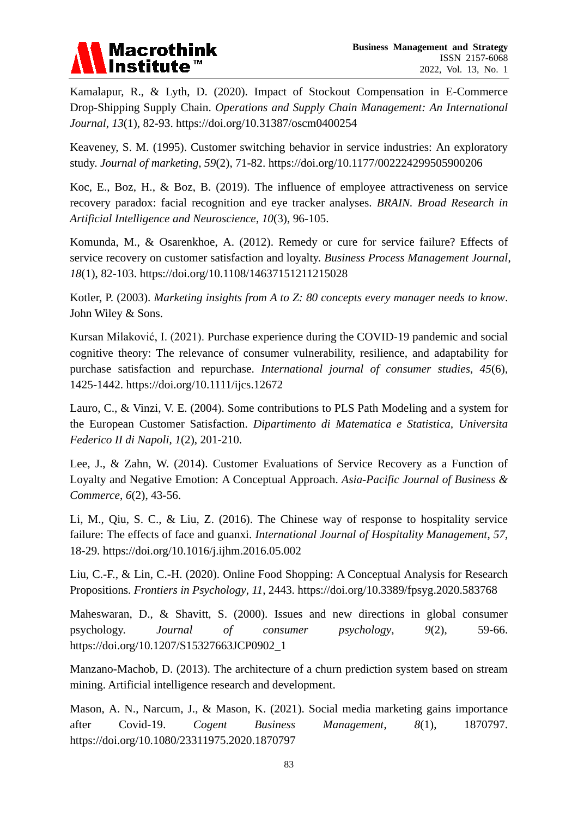

Kamalapur, R., & Lyth, D. (2020). Impact of Stockout Compensation in E-Commerce Drop-Shipping Supply Chain. *Operations and Supply Chain Management: An International Journal*, *13*(1), 82-93.<https://doi.org/10.31387/oscm0400254>

Keaveney, S. M. (1995). Customer switching behavior in service industries: An exploratory study. *Journal of marketing*, *59*(2), 71-82.<https://doi.org/10.1177/002224299505900206>

Koc, E., Boz, H., & Boz, B. (2019). The influence of employee attractiveness on service recovery paradox: facial recognition and eye tracker analyses. *BRAIN. Broad Research in Artificial Intelligence and Neuroscience*, *10*(3), 96-105.

Komunda, M., & Osarenkhoe, A. (2012). Remedy or cure for service failure? Effects of service recovery on customer satisfaction and loyalty. *Business Process Management Journal*, *18*(1), 82-103.<https://doi.org/10.1108/14637151211215028>

Kotler, P. (2003). *Marketing insights from A to Z: 80 concepts every manager needs to know*. John Wiley & Sons.

Kursan Milaković, I. (2021). Purchase experience during the COVID‐19 pandemic and social cognitive theory: The relevance of consumer vulnerability, resilience, and adaptability for purchase satisfaction and repurchase. *International journal of consumer studies*, *45*(6), 1425-1442.<https://doi.org/10.1111/ijcs.12672>

Lauro, C., & Vinzi, V. E. (2004). Some contributions to PLS Path Modeling and a system for the European Customer Satisfaction. *Dipartimento di Matematica e Statistica, Universita Federico II di Napoli*, *1*(2), 201-210.

Lee, J., & Zahn, W. (2014). Customer Evaluations of Service Recovery as a Function of Loyalty and Negative Emotion: A Conceptual Approach. *Asia-Pacific Journal of Business & Commerce*, *6*(2), 43-56.

Li, M., Qiu, S. C., & Liu, Z. (2016). The Chinese way of response to hospitality service failure: The effects of face and guanxi. *International Journal of Hospitality Management*, *57*, 18-29.<https://doi.org/10.1016/j.ijhm.2016.05.002>

Liu, C.-F., & Lin, C.-H. (2020). Online Food Shopping: A Conceptual Analysis for Research Propositions. *Frontiers in Psychology*, *11*, 2443.<https://doi.org/10.3389/fpsyg.2020.583768>

Maheswaran, D., & Shavitt, S. (2000). Issues and new directions in global consumer psychology. *Journal of consumer psychology*, *9*(2), 59-66. [https://doi.org/10.1207/S15327663JCP0902\\_1](https://doi.org/10.1207/S15327663JCP0902_1)

Manzano-Machob, D. (2013). The architecture of a churn prediction system based on stream mining. Artificial intelligence research and development.

Mason, A. N., Narcum, J., & Mason, K. (2021). Social media marketing gains importance after Covid-19. *Cogent Business Management*, *8*(1), 1870797. <https://doi.org/10.1080/23311975.2020.1870797>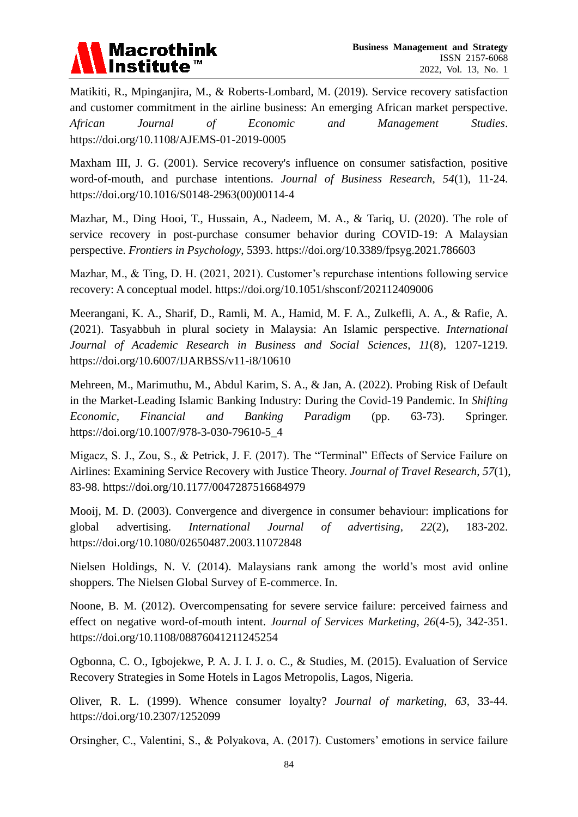

Matikiti, R., Mpinganjira, M., & Roberts-Lombard, M. (2019). Service recovery satisfaction and customer commitment in the airline business: An emerging African market perspective. *African Journal of Economic and Management Studies*. <https://doi.org/10.1108/AJEMS-01-2019-0005>

Maxham III, J. G. (2001). Service recovery's influence on consumer satisfaction, positive word-of-mouth, and purchase intentions. *Journal of Business Research*, *54*(1), 11-24. [https://doi.org/10.1016/S0148-2963\(00\)00114-4](https://doi.org/10.1016/S0148-2963(00)00114-4)

Mazhar, M., Ding Hooi, T., Hussain, A., Nadeem, M. A., & Tariq, U. (2020). The role of service recovery in post-purchase consumer behavior during COVID-19: A Malaysian perspective. *Frontiers in Psychology*, 5393.<https://doi.org/10.3389/fpsyg.2021.786603>

Mazhar, M., & Ting, D. H. (2021, 2021). Customer's repurchase intentions following service recovery: A conceptual model.<https://doi.org/10.1051/shsconf/202112409006>

Meerangani, K. A., Sharif, D., Ramli, M. A., Hamid, M. F. A., Zulkefli, A. A., & Rafie, A. (2021). Tasyabbuh in plural society in Malaysia: An Islamic perspective. *International Journal of Academic Research in Business and Social Sciences*, *11*(8), 1207-1219. <https://doi.org/10.6007/IJARBSS/v11-i8/10610>

Mehreen, M., Marimuthu, M., Abdul Karim, S. A., & Jan, A. (2022). Probing Risk of Default in the Market-Leading Islamic Banking Industry: During the Covid-19 Pandemic. In *Shifting Economic, Financial and Banking Paradigm* (pp. 63-73). Springer. [https://doi.org/10.1007/978-3-030-79610-5\\_4](https://doi.org/10.1007/978-3-030-79610-5_4)

Migacz, S. J., Zou, S., & Petrick, J. F. (2017). The "Terminal" Effects of Service Failure on Airlines: Examining Service Recovery with Justice Theory. *Journal of Travel Research*, *57*(1), 83-98.<https://doi.org/10.1177/0047287516684979>

Mooij, M. D. (2003). Convergence and divergence in consumer behaviour: implications for global advertising. *International Journal of advertising*, *22*(2), 183-202. <https://doi.org/10.1080/02650487.2003.11072848>

Nielsen Holdings, N. V. (2014). Malaysians rank among the world's most avid online shoppers. The Nielsen Global Survey of E-commerce. In.

Noone, B. M. (2012). Overcompensating for severe service failure: perceived fairness and effect on negative word-of-mouth intent. *Journal of Services Marketing*, *26*(4-5), 342-351. <https://doi.org/10.1108/08876041211245254>

Ogbonna, C. O., Igbojekwe, P. A. J. I. J. o. C., & Studies, M. (2015). Evaluation of Service Recovery Strategies in Some Hotels in Lagos Metropolis, Lagos, Nigeria.

Oliver, R. L. (1999). Whence consumer loyalty? *Journal of marketing*, *63*, 33-44. <https://doi.org/10.2307/1252099>

Orsingher, C., Valentini, S., & Polyakova, A. (2017). Customers' emotions in service failure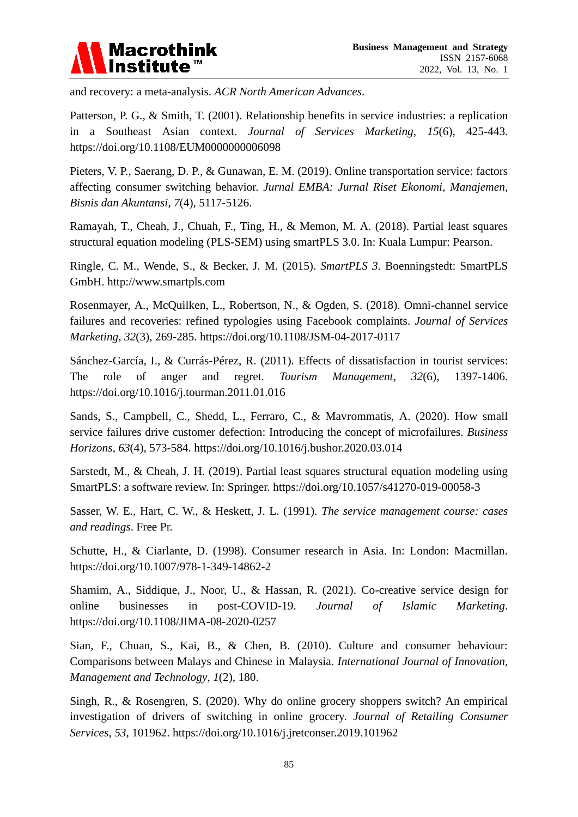

and recovery: a meta-analysis. *ACR North American Advances*.

Patterson, P. G., & Smith, T. (2001). Relationship benefits in service industries: a replication in a Southeast Asian context. *Journal of Services Marketing*, *15*(6), 425-443. <https://doi.org/10.1108/EUM0000000006098>

Pieters, V. P., Saerang, D. P., & Gunawan, E. M. (2019). Online transportation service: factors affecting consumer switching behavior. *Jurnal EMBA: Jurnal Riset Ekonomi, Manajemen, Bisnis dan Akuntansi*, *7*(4), 5117-5126.

Ramayah, T., Cheah, J., Chuah, F., Ting, H., & Memon, M. A. (2018). Partial least squares structural equation modeling (PLS-SEM) using smartPLS 3.0. In: Kuala Lumpur: Pearson.

Ringle, C. M., Wende, S., & Becker, J. M. (2015). *SmartPLS 3*. Boenningstedt: SmartPLS GmbH. http://www.smartpls.com

Rosenmayer, A., McQuilken, L., Robertson, N., & Ogden, S. (2018). Omni-channel service failures and recoveries: refined typologies using Facebook complaints. *Journal of Services Marketing*, *32*(3), 269-285.<https://doi.org/10.1108/JSM-04-2017-0117>

Sánchez-García, I., & Currás-Pérez, R. (2011). Effects of dissatisfaction in tourist services: The role of anger and regret. *Tourism Management*, *32*(6), 1397-1406. <https://doi.org/10.1016/j.tourman.2011.01.016>

Sands, S., Campbell, C., Shedd, L., Ferraro, C., & Mavrommatis, A. (2020). How small service failures drive customer defection: Introducing the concept of microfailures. *Business Horizons*, *63*(4), 573-584.<https://doi.org/10.1016/j.bushor.2020.03.014>

Sarstedt, M., & Cheah, J. H. (2019). Partial least squares structural equation modeling using SmartPLS: a software review. In: Springer. <https://doi.org/10.1057/s41270-019-00058-3>

Sasser, W. E., Hart, C. W., & Heskett, J. L. (1991). *The service management course: cases and readings*. Free Pr.

Schutte, H., & Ciarlante, D. (1998). Consumer research in Asia. In: London: Macmillan. <https://doi.org/10.1007/978-1-349-14862-2>

Shamim, A., Siddique, J., Noor, U., & Hassan, R. (2021). Co-creative service design for online businesses in post-COVID-19. *Journal of Islamic Marketing*. <https://doi.org/10.1108/JIMA-08-2020-0257>

Sian, F., Chuan, S., Kai, B., & Chen, B. (2010). Culture and consumer behaviour: Comparisons between Malays and Chinese in Malaysia. *International Journal of Innovation, Management and Technology*, *1*(2), 180.

Singh, R., & Rosengren, S. (2020). Why do online grocery shoppers switch? An empirical investigation of drivers of switching in online grocery. *Journal of Retailing Consumer Services*, *53*, 101962.<https://doi.org/10.1016/j.jretconser.2019.101962>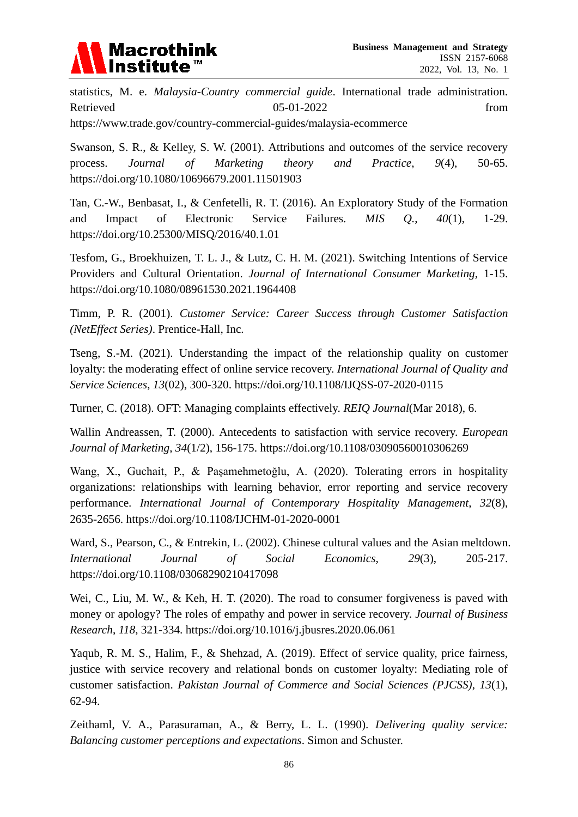

statistics, M. e. *Malaysia-Country commercial guide*. International trade administration. Retrieved 05-01-2022 from https://www.trade.gov/country-commercial-guides/malaysia-ecommerce

Swanson, S. R., & Kelley, S. W. (2001). Attributions and outcomes of the service recovery process. *Journal of Marketing theory and Practice*, *9*(4), 50-65. <https://doi.org/10.1080/10696679.2001.11501903>

Tan, C.-W., Benbasat, I., & Cenfetelli, R. T. (2016). An Exploratory Study of the Formation and Impact of Electronic Service Failures. *MIS Q.*, *40*(1), 1-29. <https://doi.org/10.25300/MISQ/2016/40.1.01>

Tesfom, G., Broekhuizen, T. L. J., & Lutz, C. H. M. (2021). Switching Intentions of Service Providers and Cultural Orientation. *Journal of International Consumer Marketing*, 1-15. <https://doi.org/10.1080/08961530.2021.1964408>

Timm, P. R. (2001). *Customer Service: Career Success through Customer Satisfaction (NetEffect Series)*. Prentice-Hall, Inc.

Tseng, S.-M. (2021). Understanding the impact of the relationship quality on customer loyalty: the moderating effect of online service recovery. *International Journal of Quality and Service Sciences*, *13*(02), 300-320.<https://doi.org/10.1108/IJQSS-07-2020-0115>

Turner, C. (2018). OFT: Managing complaints effectively. *REIQ Journal*(Mar 2018), 6.

Wallin Andreassen, T. (2000). Antecedents to satisfaction with service recovery. *European Journal of Marketing*, *34*(1/2), 156-175.<https://doi.org/10.1108/03090560010306269>

Wang, X., Guchait, P., & Paşamehmetoğlu, A. (2020). Tolerating errors in hospitality organizations: relationships with learning behavior, error reporting and service recovery performance. *International Journal of Contemporary Hospitality Management*, *32*(8), 2635-2656.<https://doi.org/10.1108/IJCHM-01-2020-0001>

Ward, S., Pearson, C., & Entrekin, L. (2002). Chinese cultural values and the Asian meltdown. *International Journal of Social Economics*, *29*(3), 205-217. <https://doi.org/10.1108/03068290210417098>

Wei, C., Liu, M. W., & Keh, H. T. (2020). The road to consumer forgiveness is paved with money or apology? The roles of empathy and power in service recovery. *Journal of Business Research*, *118*, 321-334.<https://doi.org/10.1016/j.jbusres.2020.06.061>

Yaqub, R. M. S., Halim, F., & Shehzad, A. (2019). Effect of service quality, price fairness, justice with service recovery and relational bonds on customer loyalty: Mediating role of customer satisfaction. *Pakistan Journal of Commerce and Social Sciences (PJCSS)*, *13*(1), 62-94.

Zeithaml, V. A., Parasuraman, A., & Berry, L. L. (1990). *Delivering quality service: Balancing customer perceptions and expectations*. Simon and Schuster.